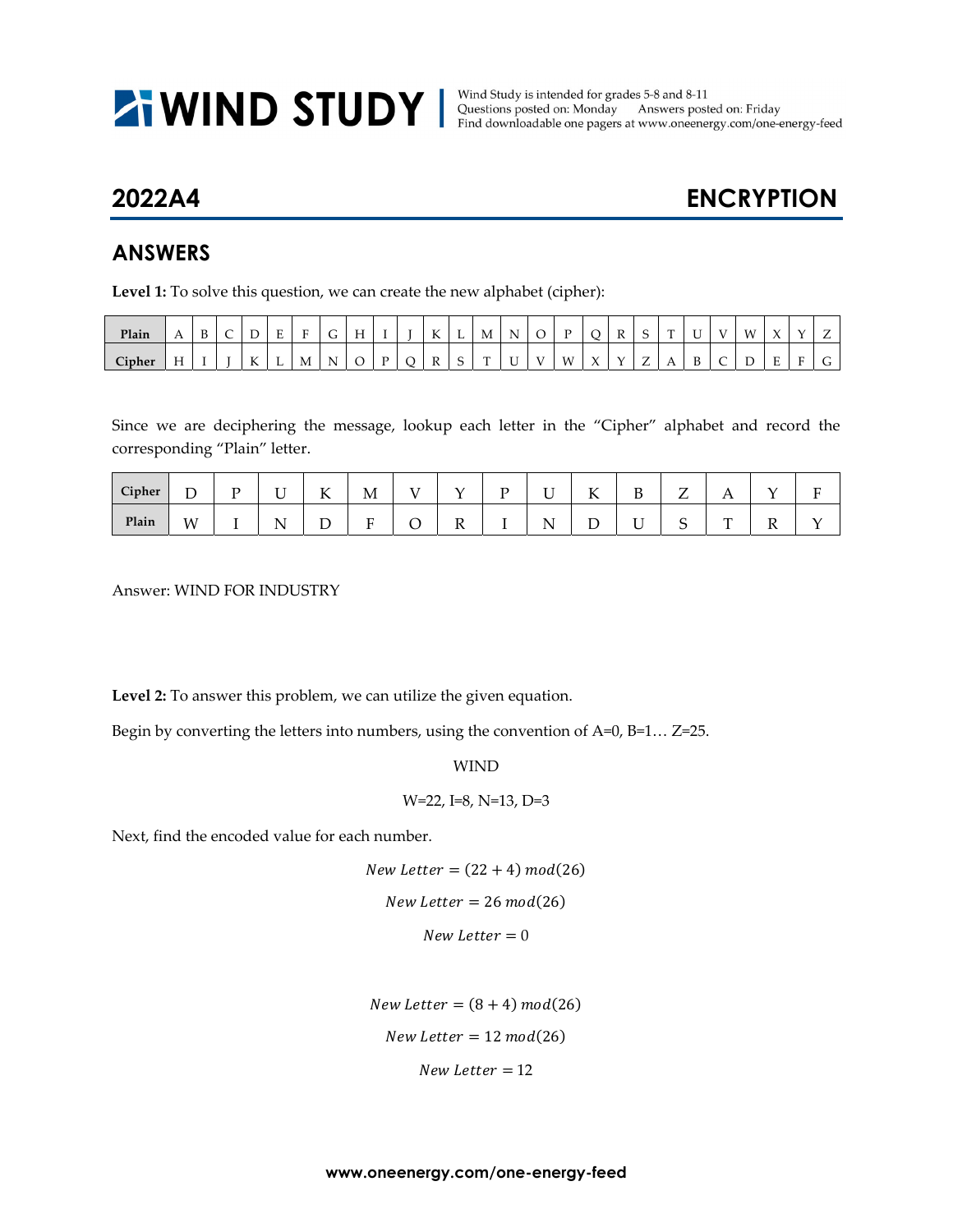**WIND STUDY** Nind Study is intended for grades 5-8 and 8-11<br>Find downloadable one pagers at www.oneenergy.com/one-energy-feed

## **2022A4 ENCRYPTION**

## **ANSWERS**

**Level 1:** To solve this question, we can create the new alphabet (cipher):

| Plain         | $\overline{1}$  | $\mathbf{D}$ | ∽<br>∽ | ້                  | -<br>. . | $\blacksquare$ | ∽<br>u | T<br>. .       |   | $\mathbf{r}$<br>A | щ          | М<br>the contract of the contract of | N<br>. .      |              | $\mathbf{r}$   |               | $\mathbb R$   |                               | $\mathbf{r}$ | ∽      | $\mathbf{v}$ | <b>M</b> | $\lambda$ |              |        |
|---------------|-----------------|--------------|--------|--------------------|----------|----------------|--------|----------------|---|-------------------|------------|--------------------------------------|---------------|--------------|----------------|---------------|---------------|-------------------------------|--------------|--------|--------------|----------|-----------|--------------|--------|
| <b>Cipher</b> | $-$<br>-<br>. . |              |        | $\sim$ $\sim$<br>A | <b>L</b> | M              | N.     | <sup>-</sup> C | D | R                 | $\sqrt{2}$ | $\sim$                               | $\sim$ $\sim$ | $\mathbf{V}$ | W <sub>1</sub> | $\mathcal{L}$ | $\mathcal{N}$ | $\overline{\phantom{0}}$<br>- | . .          | D<br>◡ |              |          |           | $\mathbf{r}$ | $\sim$ |

Since we are deciphering the message, lookup each letter in the "Cipher" alphabet and record the corresponding "Plain" letter.

| Cipher | –<br>້ | $\mathbf{r}$ | $ -$<br>ີ  | T<br>N | M       |         | – | - -             | $\sim$ $\sim$<br>17 | $\mathbf{r}$<br>D  | ⇁<br>∸ | 1 Y |   | Ð |
|--------|--------|--------------|------------|--------|---------|---------|---|-----------------|---------------------|--------------------|--------|-----|---|---|
| Plain  | W      |              | . .<br>. . | –<br>ັ | ┳<br>л. | –<br>** |   | - -<br>N<br>. . |                     | $\sim$ $\sim$<br>ັ | ⌒<br>ັ | m   | v |   |

Answer: WIND FOR INDUSTRY

**Level 2:** To answer this problem, we can utilize the given equation.

Begin by converting the letters into numbers, using the convention of A=0, B=1… Z=25.

WIND

W=22, I=8, N=13, D=3

Next, find the encoded value for each number.

 $New Letter = (22 + 4) mod(26)$  $New Letter = 26 mod(26)$  $New Letter = 0$ 

 $New Letter = (8 + 4) mod(26)$  $New Letter = 12 \text{ mod}(26)$  $New Letter = 12$